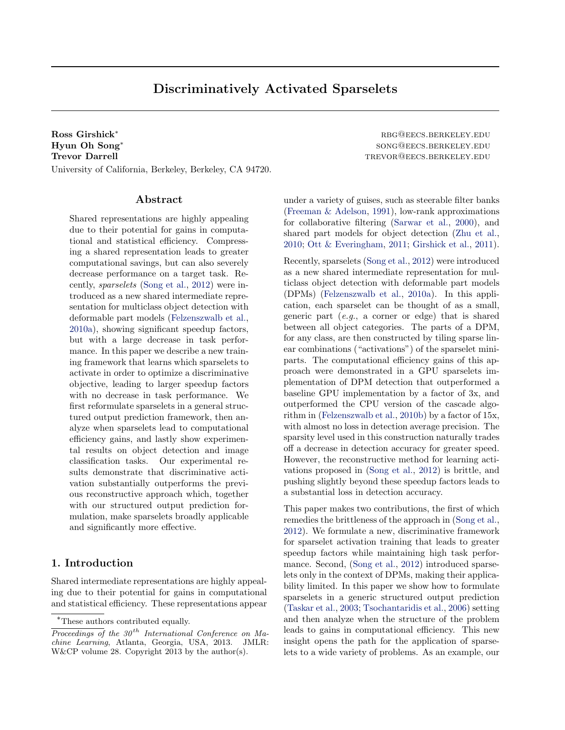# Discriminatively Activated Sparselets

Ross Girshick<sup>∗</sup> rbg@eecs.berkeley.edu Hyun Oh Song<sup>∗</sup> Trevor Darrell trevor and the settlement of the settlement of the settlement of the settlement of the settlement of the settlement of the settlement of the settlement of the settlement of the settlement of the settlement o University of California, Berkeley, Berkeley, CA 94720.

#### Abstract

Shared representations are highly appealing due to their potential for gains in computational and statistical efficiency. Compressing a shared representation leads to greater computational savings, but can also severely decrease performance on a target task. Recently, sparselets [\(Song et al.,](#page-8-0) [2012\)](#page-8-0) were introduced as a new shared intermediate representation for multiclass object detection with deformable part models [\(Felzenszwalb et al.,](#page-8-0) [2010a\)](#page-8-0), showing significant speedup factors, but with a large decrease in task performance. In this paper we describe a new training framework that learns which sparselets to activate in order to optimize a discriminative objective, leading to larger speedup factors with no decrease in task performance. We first reformulate sparselets in a general structured output prediction framework, then analyze when sparselets lead to computational efficiency gains, and lastly show experimental results on object detection and image classification tasks. Our experimental results demonstrate that discriminative activation substantially outperforms the previous reconstructive approach which, together with our structured output prediction formulation, make sparselets broadly applicable and significantly more effective.

# 1. Introduction

Shared intermediate representations are highly appealing due to their potential for gains in computational and statistical efficiency. These representations appear song@eecs.berkeley.edu

under a variety of guises, such as steerable filter banks [\(Freeman & Adelson,](#page-8-0) [1991\)](#page-8-0), low-rank approximations for collaborative filtering [\(Sarwar et al.,](#page-8-0) [2000\)](#page-8-0), and shared part models for object detection [\(Zhu et al.,](#page-8-0) [2010;](#page-8-0) [Ott & Everingham,](#page-8-0) [2011;](#page-8-0) [Girshick et al.,](#page-8-0) [2011\)](#page-8-0).

Recently, sparselets [\(Song et al.,](#page-8-0) [2012\)](#page-8-0) were introduced as a new shared intermediate representation for multiclass object detection with deformable part models (DPMs) [\(Felzenszwalb et al.,](#page-8-0) [2010a\)](#page-8-0). In this application, each sparselet can be thought of as a small, generic part  $(e,q, a \text{ corner or edge})$  that is shared between all object categories. The parts of a DPM, for any class, are then constructed by tiling sparse linear combinations ("activations") of the sparselet miniparts. The computational efficiency gains of this approach were demonstrated in a GPU sparselets implementation of DPM detection that outperformed a baseline GPU implementation by a factor of 3x, and outperformed the CPU version of the cascade algorithm in [\(Felzenszwalb et al.,](#page-8-0) [2010b\)](#page-8-0) by a factor of 15x, with almost no loss in detection average precision. The sparsity level used in this construction naturally trades off a decrease in detection accuracy for greater speed. However, the reconstructive method for learning activations proposed in [\(Song et al.,](#page-8-0) [2012\)](#page-8-0) is brittle, and pushing slightly beyond these speedup factors leads to a substantial loss in detection accuracy.

This paper makes two contributions, the first of which remedies the brittleness of the approach in [\(Song et al.,](#page-8-0) [2012\)](#page-8-0). We formulate a new, discriminative framework for sparselet activation training that leads to greater speedup factors while maintaining high task performance. Second, [\(Song et al.,](#page-8-0) [2012\)](#page-8-0) introduced sparselets only in the context of DPMs, making their applicability limited. In this paper we show how to formulate sparselets in a generic structured output prediction [\(Taskar et al.,](#page-8-0) [2003;](#page-8-0) [Tsochantaridis et al.,](#page-8-0) [2006\)](#page-8-0) setting and then analyze when the structure of the problem leads to gains in computational efficiency. This new insight opens the path for the application of sparselets to a wide variety of problems. As an example, our

<sup>∗</sup>These authors contributed equally.

Proceedings of the  $30<sup>th</sup>$  International Conference on Machine Learning, Atlanta, Georgia, USA, 2013. JMLR: W&CP volume 28. Copyright 2013 by the author(s).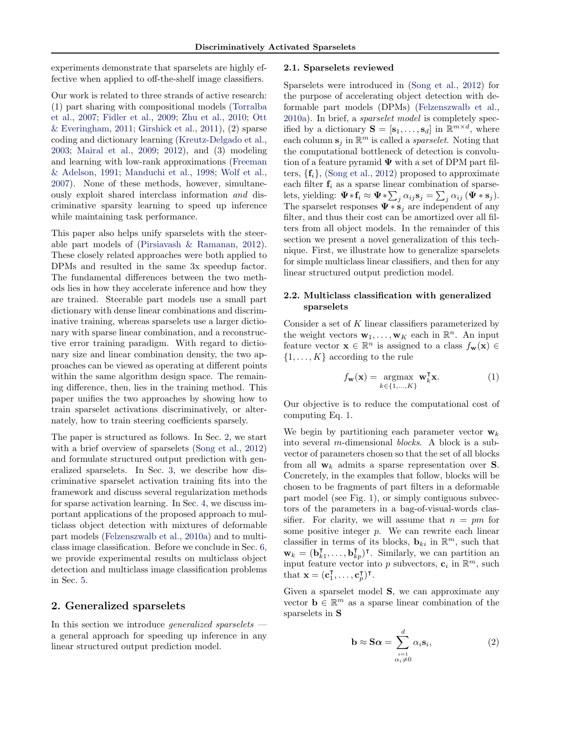<span id="page-1-0"></span>experiments demonstrate that sparselets are highly effective when applied to off-the-shelf image classifiers.

Our work is related to three strands of active research: (1) part sharing with compositional models [\(Torralba](#page-8-0) [et al.,](#page-8-0) [2007;](#page-8-0) [Fidler et al.,](#page-8-0) [2009;](#page-8-0) [Zhu et al.,](#page-8-0) [2010;](#page-8-0) [Ott](#page-8-0) [& Everingham,](#page-8-0) [2011;](#page-8-0) [Girshick et al.,](#page-8-0) [2011\)](#page-8-0),  $(2)$  sparse coding and dictionary learning [\(Kreutz-Delgado et al.,](#page-8-0) [2003;](#page-8-0) [Mairal et al.,](#page-8-0) [2009;](#page-8-0) [2012\)](#page-8-0), and (3) modeling and learning with low-rank approximations [\(Freeman](#page-8-0) [& Adelson,](#page-8-0) [1991;](#page-8-0) [Manduchi et al.,](#page-8-0) [1998;](#page-8-0) [Wolf et al.,](#page-8-0) [2007\)](#page-8-0). None of these methods, however, simultaneously exploit shared interclass information and discriminative sparsity learning to speed up inference while maintaining task performance.

This paper also helps unify sparselets with the steerable part models of [\(Pirsiavash & Ramanan,](#page-8-0) [2012\)](#page-8-0). These closely related approaches were both applied to DPMs and resulted in the same 3x speedup factor. The fundamental differences between the two methods lies in how they accelerate inference and how they are trained. Steerable part models use a small part dictionary with dense linear combinations and discriminative training, whereas sparselets use a larger dictionary with sparse linear combination, and a reconstructive error training paradigm. With regard to dictionary size and linear combination density, the two approaches can be viewed as operating at different points within the same algorithm design space. The remaining difference, then, lies in the training method. This paper unifies the two approaches by showing how to train sparselet activations discriminatively, or alternately, how to train steering coefficients sparsely.

The paper is structured as follows. In Sec. 2, we start with a brief overview of sparselets [\(Song et al.,](#page-8-0) [2012\)](#page-8-0) and formulate structured output prediction with generalized sparselets. In Sec. [3,](#page-3-0) we describe how discriminative sparselet activation training fits into the framework and discuss several regularization methods for sparse activation learning. In Sec. [4,](#page-4-0) we discuss important applications of the proposed approach to multiclass object detection with mixtures of deformable part models [\(Felzenszwalb et al.,](#page-8-0) [2010a\)](#page-8-0) and to multiclass image classification. Before we conclude in Sec. [6,](#page-7-0) we provide experimental results on multiclass object detection and multiclass image classification problems in Sec. [5.](#page-6-0)

#### 2. Generalized sparselets

In this section we introduce *generalized sparselets* a general approach for speeding up inference in any linear structured output prediction model.

#### 2.1. Sparselets reviewed

Sparselets were introduced in [\(Song et al.,](#page-8-0) [2012\)](#page-8-0) for the purpose of accelerating object detection with deformable part models (DPMs) [\(Felzenszwalb et al.,](#page-8-0) [2010a\)](#page-8-0). In brief, a sparselet model is completely specified by a dictionary  $\mathbf{S} = [\mathbf{s}_1, \dots, \mathbf{s}_d]$  in  $\mathbb{R}^{m \times d}$ , where each column  $\mathbf{s}_j$  in  $\mathbb{R}^m$  is called a *sparselet*. Noting that the computational bottleneck of detection is convolution of a feature pyramid  $\Psi$  with a set of DPM part filters,  $\{f_i\}$ , [\(Song et al.,](#page-8-0) [2012\)](#page-8-0) proposed to approximate each filter  $f_i$  as a sparse linear combination of sparselets, yielding:  $\Psi * f_i \approx \Psi * \sum_j \alpha_{ij} s_j = \sum_j \alpha_{ij} (\Psi * s_j).$ The sparselet responses  $\Psi * s_j$  are independent of any filter, and thus their cost can be amortized over all filters from all object models. In the remainder of this section we present a novel generalization of this technique. First, we illustrate how to generalize sparselets for simple multiclass linear classifiers, and then for any linear structured output prediction model.

#### 2.2. Multiclass classification with generalized sparselets

Consider a set of  $K$  linear classifiers parameterized by the weight vectors  $\mathbf{w}_1, \ldots, \mathbf{w}_K$  each in  $\mathbb{R}^n$ . An input feature vector  $\mathbf{x} \in \mathbb{R}^n$  is assigned to a class  $f_{\mathbf{w}}(\mathbf{x}) \in$  $\{1, \ldots, K\}$  according to the rule

$$
f_{\mathbf{w}}(\mathbf{x}) = \underset{k \in \{1, \dots, K\}}{\operatorname{argmax}} \mathbf{w}_k^{\mathsf{T}} \mathbf{x}.
$$
 (1)

Our objective is to reduce the computational cost of computing Eq. 1.

We begin by partitioning each parameter vector  $w_k$ into several m-dimensional blocks. A block is a subvector of parameters chosen so that the set of all blocks from all  $w_k$  admits a sparse representation over S. Concretely, in the examples that follow, blocks will be chosen to be fragments of part filters in a deformable part model (see Fig. [1\)](#page-2-0), or simply contiguous subvectors of the parameters in a bag-of-visual-words classifier. For clarity, we will assume that  $n = pm$  for some positive integer  $p$ . We can rewrite each linear classifier in terms of its blocks,  $\mathbf{b}_{ki}$  in  $\mathbb{R}^m$ , such that  $\mathbf{w}_k = (\mathbf{b}_k^{\mathsf{T}}$  $\mathbf{b}_{k_1}^{\mathsf{T}}, \ldots, \mathbf{b}_{kp}^{\mathsf{T}})^{\mathsf{T}}$ . Similarly, we can partition an input feature vector into p subvectors,  $\mathbf{c}_i$  in  $\mathbb{R}^m$ , such that  $\mathbf{x} = (\mathbf{c}_1^{\mathsf{T}})$  $_{1}^{\mathsf{T}},\ldots,\mathbf{c}_{p}^{\mathsf{T}})^{\mathsf{T}}.$ 

Given a sparselet model S, we can approximate any vector  $\mathbf{b} \in \mathbb{R}^m$  as a sparse linear combination of the sparselets in S

$$
\mathbf{b} \approx \mathbf{S} \boldsymbol{\alpha} = \sum_{\substack{i=1 \\ \alpha_i \neq 0}}^d \alpha_i \mathbf{s}_i, \tag{2}
$$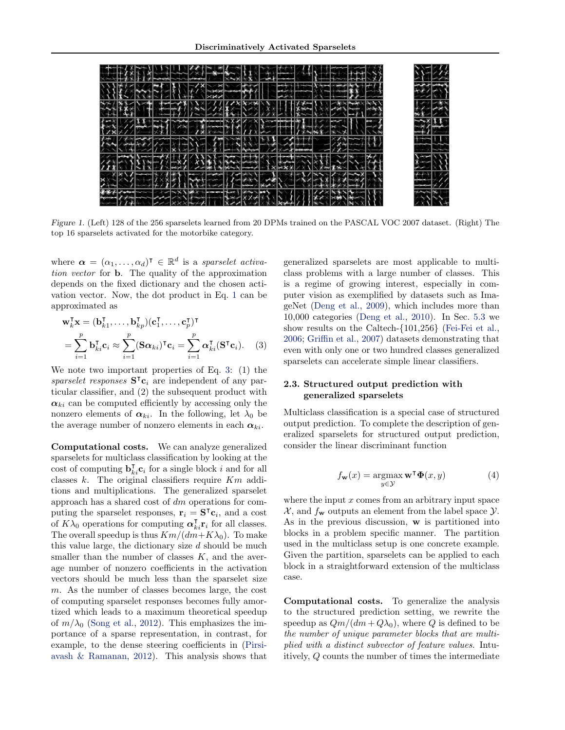<span id="page-2-0"></span>

Figure 1. (Left) 128 of the 256 sparselets learned from 20 DPMs trained on the PASCAL VOC 2007 dataset. (Right) The top 16 sparselets activated for the motorbike category.

where  $\boldsymbol{\alpha} = (\alpha_1, \dots, \alpha_d)^\intercal \in \mathbb{R}^d$  is a sparselet activation vector for b. The quality of the approximation depends on the fixed dictionary and the chosen activation vector. Now, the dot product in Eq. [1](#page-1-0) can be approximated as

$$
\mathbf{w}_k^{\mathsf{T}} \mathbf{x} = (\mathbf{b}_{k1}^{\mathsf{T}}, \dots, \mathbf{b}_{kp}^{\mathsf{T}}) (\mathbf{c}_1^{\mathsf{T}}, \dots, \mathbf{c}_p^{\mathsf{T}})^{\mathsf{T}}
$$

$$
= \sum_{i=1}^p \mathbf{b}_{ki}^{\mathsf{T}} \mathbf{c}_i \approx \sum_{i=1}^p (\mathbf{S} \alpha_{ki})^{\mathsf{T}} \mathbf{c}_i = \sum_{i=1}^p \alpha_{ki}^{\mathsf{T}} (\mathbf{S}^{\mathsf{T}} \mathbf{c}_i). \quad (3)
$$

We note two important properties of Eq. 3: (1) the sparselet responses  $S^{\mathsf{T}}c_i$  are independent of any particular classifier, and (2) the subsequent product with  $\alpha_{ki}$  can be computed efficiently by accessing only the nonzero elements of  $\alpha_{ki}$ . In the following, let  $\lambda_0$  be the average number of nonzero elements in each  $\alpha_{ki}$ .

Computational costs. We can analyze generalized sparselets for multiclass classification by looking at the cost of computing  $\mathbf{b}_{ki}^{\mathsf{T}} \mathbf{c}_i$  for a single block i and for all classes  $k$ . The original classifiers require  $Km$  additions and multiplications. The generalized sparselet approach has a shared cost of dm operations for computing the sparselet responses,  $\mathbf{r}_i = \mathbf{S}^\mathsf{T} \mathbf{c}_i$ , and a cost of  $K\lambda_0$  operations for computing  $\alpha_{ki}^{\mathsf{T}}\mathbf{r}_i$  for all classes. The overall speedup is thus  $Km/(dm+K\lambda_0)$ . To make this value large, the dictionary size  $d$  should be much smaller than the number of classes  $K$ , and the average number of nonzero coefficients in the activation vectors should be much less than the sparselet size m. As the number of classes becomes large, the cost of computing sparselet responses becomes fully amortized which leads to a maximum theoretical speedup of  $m/\lambda_0$  [\(Song et al.,](#page-8-0) [2012\)](#page-8-0). This emphasizes the importance of a sparse representation, in contrast, for example, to the dense steering coefficients in [\(Pirsi](#page-8-0)[avash & Ramanan,](#page-8-0) [2012\)](#page-8-0). This analysis shows that

generalized sparselets are most applicable to multiclass problems with a large number of classes. This is a regime of growing interest, especially in computer vision as exemplified by datasets such as ImageNet [\(Deng et al.,](#page-7-0) [2009\)](#page-7-0), which includes more than 10,000 categories [\(Deng et al.,](#page-7-0) [2010\)](#page-7-0). In Sec. [5.3](#page-7-0) we show results on the Caltech-{101,256} [\(Fei-Fei et al.,](#page-8-0) [2006;](#page-8-0) [Griffin et al.,](#page-8-0) [2007\)](#page-8-0) datasets demonstrating that even with only one or two hundred classes generalized sparselets can accelerate simple linear classifiers.

#### 2.3. Structured output prediction with generalized sparselets

Multiclass classification is a special case of structured output prediction. To complete the description of generalized sparselets for structured output prediction, consider the linear discriminant function

$$
f_{\mathbf{w}}(x) = \operatorname*{argmax}_{y \in \mathcal{Y}} \mathbf{w}^{\mathsf{T}} \mathbf{\Phi}(x, y)
$$
(4)

where the input  $x$  comes from an arbitrary input space  $\mathcal{X}$ , and  $f_{\mathbf{w}}$  outputs an element from the label space  $\mathcal{Y}$ . As in the previous discussion, w is partitioned into blocks in a problem specific manner. The partition used in the multiclass setup is one concrete example. Given the partition, sparselets can be applied to each block in a straightforward extension of the multiclass case.

Computational costs. To generalize the analysis to the structured prediction setting, we rewrite the speedup as  $Qm/(dm + Q\lambda_0)$ , where Q is defined to be the number of unique parameter blocks that are multiplied with a distinct subvector of feature values. Intuitively, Q counts the number of times the intermediate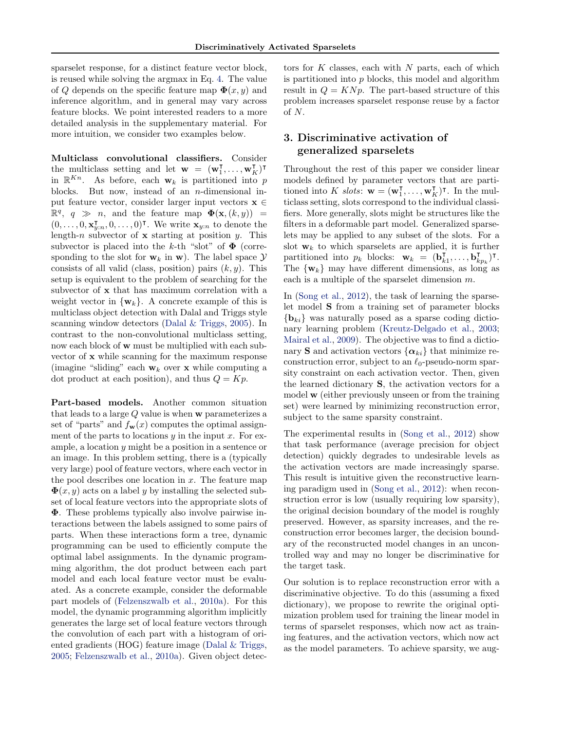<span id="page-3-0"></span>sparselet response, for a distinct feature vector block, is reused while solving the argmax in Eq. [4.](#page-2-0) The value of Q depends on the specific feature map  $\Phi(x, y)$  and inference algorithm, and in general may vary across feature blocks. We point interested readers to a more detailed analysis in the supplementary material. For more intuition, we consider two examples below.

Multiclass convolutional classifiers. Consider the multiclass setting and let  $\mathbf{w} = (\mathbf{w}_1^T)$  $\frac{1}{1}, \ldots, \mathbf{w}_K^{\mathsf{T}})^\mathsf{T}$ in  $\mathbb{R}^{Kn}$ . As before, each  $\mathbf{w}_k$  is partitioned into p blocks. But now, instead of an  $n$ -dimensional input feature vector, consider larger input vectors  $\mathbf{x} \in \mathbb{R}$  $\mathbb{R}^q$ ,  $q \gg n$ , and the feature map  $\Phi(\mathbf{x}, (k, y)) =$  $(0, \ldots, 0, \mathbf{x}_{y:n}^{\mathsf{T}}, 0, \ldots, 0)^{\mathsf{T}}$ . We write  $\mathbf{x}_{y:n}$  to denote the length-n subvector of  $x$  starting at position y. This subvector is placed into the k-th "slot" of  $\Phi$  (corresponding to the slot for  $w_k$  in w). The label space  $\mathcal Y$ consists of all valid (class, position) pairs  $(k, y)$ . This setup is equivalent to the problem of searching for the subvector of x that has maximum correlation with a weight vector in  $\{w_k\}$ . A concrete example of this is multiclass object detection with Dalal and Triggs style scanning window detectors [\(Dalal & Triggs,](#page-7-0) [2005\)](#page-7-0). In contrast to the non-convolutional multiclass setting, now each block of w must be multiplied with each subvector of x while scanning for the maximum response (imagine "sliding" each  $w_k$  over x while computing a dot product at each position), and thus  $Q = Kp$ .

Part-based models. Another common situation that leads to a large Q value is when w parameterizes a set of "parts" and  $f_{\mathbf{w}}(x)$  computes the optimal assignment of the parts to locations  $y$  in the input  $x$ . For example, a location y might be a position in a sentence or an image. In this problem setting, there is a (typically very large) pool of feature vectors, where each vector in the pool describes one location in  $x$ . The feature map  $\Phi(x, y)$  acts on a label y by installing the selected subset of local feature vectors into the appropriate slots of Φ. These problems typically also involve pairwise interactions between the labels assigned to some pairs of parts. When these interactions form a tree, dynamic programming can be used to efficiently compute the optimal label assignments. In the dynamic programming algorithm, the dot product between each part model and each local feature vector must be evaluated. As a concrete example, consider the deformable part models of [\(Felzenszwalb et al.,](#page-8-0) [2010a\)](#page-8-0). For this model, the dynamic programming algorithm implicitly generates the large set of local feature vectors through the convolution of each part with a histogram of oriented gradients (HOG) feature image [\(Dalal & Triggs,](#page-7-0) [2005;](#page-7-0) [Felzenszwalb et al.,](#page-8-0) [2010a\)](#page-8-0). Given object detec-

tors for  $K$  classes, each with  $N$  parts, each of which is partitioned into  $p$  blocks, this model and algorithm result in  $Q = K N p$ . The part-based structure of this problem increases sparselet response reuse by a factor of N.

# 3. Discriminative activation of generalized sparselets

Throughout the rest of this paper we consider linear models defined by parameter vectors that are partitioned into K slots:  $\mathbf{w} = (\mathbf{w}_1^{\mathsf{T}})$  $[\mathbf{I}, \dots, \mathbf{w}_K^{\mathsf{T}})^{\mathsf{T}}$ . In the multiclass setting, slots correspond to the individual classifiers. More generally, slots might be structures like the filters in a deformable part model. Generalized sparselets may be applied to any subset of the slots. For a slot  $w_k$  to which sparselets are applied, it is further partitioned into  $p_k$  blocks:  $\mathbf{w}_k = (\mathbf{b}_k^{\mathsf{T}})$  $\overline{\mathbf{h}}_k^{\mathsf{T}},\ldots,\mathbf{b}_k^{\mathsf{T}}$  $_{kp_k}^{\mathsf{T}}$ )<sup>T</sup>. The  $\{w_k\}$  may have different dimensions, as long as each is a multiple of the sparselet dimension  $m$ .

In [\(Song et al.,](#page-8-0) [2012\)](#page-8-0), the task of learning the sparselet model S from a training set of parameter blocks  ${b_{ki}}$  was naturally posed as a sparse coding dictionary learning problem [\(Kreutz-Delgado et al.,](#page-8-0) [2003;](#page-8-0) [Mairal et al.,](#page-8-0) [2009\)](#page-8-0). The objective was to find a dictionary S and activation vectors  $\{\alpha_{ki}\}\$  that minimize reconstruction error, subject to an  $\ell_0$ -pseudo-norm sparsity constraint on each activation vector. Then, given the learned dictionary S, the activation vectors for a model w (either previously unseen or from the training set) were learned by minimizing reconstruction error, subject to the same sparsity constraint.

The experimental results in [\(Song et al.,](#page-8-0) [2012\)](#page-8-0) show that task performance (average precision for object detection) quickly degrades to undesirable levels as the activation vectors are made increasingly sparse. This result is intuitive given the reconstructive learning paradigm used in [\(Song et al.,](#page-8-0) [2012\)](#page-8-0): when reconstruction error is low (usually requiring low sparsity), the original decision boundary of the model is roughly preserved. However, as sparsity increases, and the reconstruction error becomes larger, the decision boundary of the reconstructed model changes in an uncontrolled way and may no longer be discriminative for the target task.

Our solution is to replace reconstruction error with a discriminative objective. To do this (assuming a fixed dictionary), we propose to rewrite the original optimization problem used for training the linear model in terms of sparselet responses, which now act as training features, and the activation vectors, which now act as the model parameters. To achieve sparsity, we aug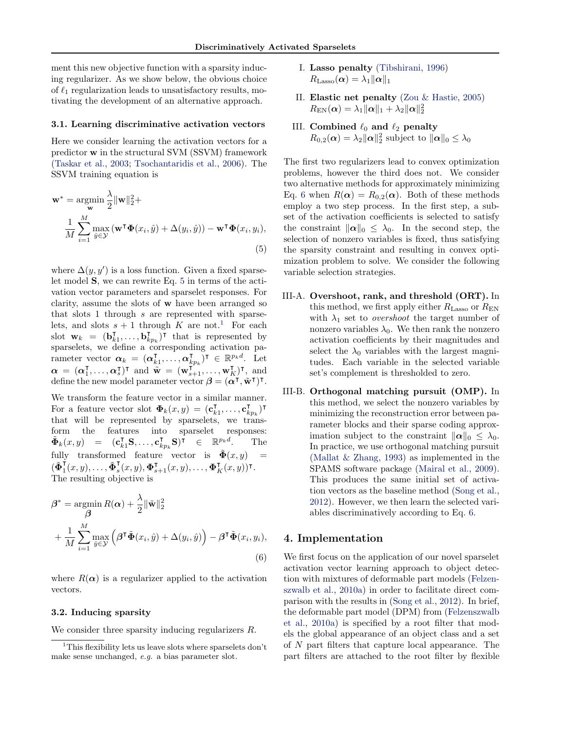<span id="page-4-0"></span>ment this new objective function with a sparsity inducing regularizer. As we show below, the obvious choice of  $\ell_1$  regularization leads to unsatisfactory results, motivating the development of an alternative approach.

#### 3.1. Learning discriminative activation vectors

Here we consider learning the activation vectors for a predictor w in the structural SVM (SSVM) framework [\(Taskar et al.,](#page-8-0) [2003;](#page-8-0) [Tsochantaridis et al.,](#page-8-0) [2006\)](#page-8-0). The SSVM training equation is

$$
\mathbf{w}^* = \underset{\mathbf{w}}{\operatorname{argmin}} \frac{\lambda}{2} ||\mathbf{w}||_2^2 +
$$
  

$$
\frac{1}{M} \sum_{i=1}^M \max_{\hat{y} \in \mathcal{Y}} (\mathbf{w}^\mathsf{T} \boldsymbol{\Phi}(x_i, \hat{y}) + \Delta(y_i, \hat{y})) - \mathbf{w}^\mathsf{T} \boldsymbol{\Phi}(x_i, y_i),
$$
  
(5)

where  $\Delta(y, y')$  is a loss function. Given a fixed sparselet model S, we can rewrite Eq. 5 in terms of the activation vector parameters and sparselet responses. For clarity, assume the slots of w have been arranged so that slots 1 through s are represented with sparselets, and slots  $s + 1$  through K are not.<sup>1</sup> For each slot  $\mathbf{w}_k = (\mathbf{b}_k^{\mathsf{T}})$  $\bar{\mathbf{k}}_1, \ldots, \mathbf{b}_k^{\intercal}$  $(\mathbf{x}_{kp_k})^{\mathsf{T}}$  that is represented by sparselets, we define a corresponding activation parameter vector  $\boldsymbol{\alpha}_k = (\boldsymbol{\alpha}_k^{\mathsf{T}})$  $_{k1}^{\intercal},\ldots,\boldsymbol{\alpha}_{k}^{\intercal}$ vector  $\alpha_k = (\alpha_{k1}^{\intercal}, \ldots, \alpha_{kp_k}^{\intercal})^{\intercal} \in \mathbb{R}^{p_k d}$ . Let  $\boldsymbol{\alpha} = (\boldsymbol{\alpha}_1^{\mathsf{T}}, \dots, \boldsymbol{\alpha}_s^{\mathsf{T}})^{\mathsf{T}}$  and  $\tilde{\mathbf{w}} = (\mathbf{w}_{s+1}^{\mathsf{T}_{f,k}}, \dots, \mathbf{w}_{K}^{\mathsf{T}})^{\mathsf{T}}$ , and define the new model parameter vector  $\beta = (\alpha^{\dagger}, \tilde{\mathbf{w}}^{\dagger})^{\dagger}$ .

We transform the feature vector in a similar manner. For a feature vector slot  $\mathbf{\Phi}_k(x, y) = (\mathbf{c}_k^{\mathsf{T}})$  $\mathbf{r}_{k1}^{\mathsf{T}}, \ldots, \mathbf{c}_k^{\mathsf{T}}$  $\frac{1}{k p_k}$ ) T that will be represented by sparselets, we transform the features into sparselet responses:  $\tilde{\mathbf{\Phi}}_k(x,y) = (\mathbf{c}_{k1}^\intercal \mathbf{S}, \dots, \mathbf{c}_{k1}^\intercal$  $(\mathbf{k}_{p_k} \mathbf{S})^{\bar{\mathsf{T}}}$   $\in$   $\mathbb{R}^{p_k d}$ . The fully transformed feature vector is  $\tilde{\mathbf{\Phi}}(x, y)$  $\begin{pmatrix} \tilde{\mathbf{\Phi}}_1^{\mathsf{T}} \end{pmatrix}$  $\frac{\mathbf{v}}{\mathbf{v}}(x,y),\ldots,\tilde{\mathbf{\Phi}}_s^{\mathsf{T}}$  $\begin{array}{c} \nabla_s^{\mathsf{T}}(x,y), \boldsymbol{\Phi}_{s+1}^{\mathsf{T}}(x,y), \ldots, \boldsymbol{\Phi}_K^{\mathsf{T}}(x,y))^{\mathsf{T}}. \n\end{array}$ The resulting objective is

$$
\beta^* = \operatorname*{argmin}_{\beta} R(\alpha) + \frac{\lambda}{2} \|\tilde{\mathbf{w}}\|_2^2
$$
  
+ 
$$
\frac{1}{M} \sum_{i=1}^M \max_{\hat{y} \in \mathcal{Y}} \left( \beta^{\mathsf{T}} \tilde{\mathbf{\Phi}}(x_i, \hat{y}) + \Delta(y_i, \hat{y}) \right) - \beta^{\mathsf{T}} \tilde{\mathbf{\Phi}}(x_i, y_i),
$$
(6)

where  $R(\alpha)$  is a regularizer applied to the activation vectors.

#### 3.2. Inducing sparsity

We consider three sparsity inducing regularizers R.

- I. Lasso penalty [\(Tibshirani,](#page-8-0) [1996\)](#page-8-0)  $R_\mathrm{Lasso}(\boldsymbol{\alpha}) = \lambda_1 \|\boldsymbol{\alpha}\|_1$
- II. Elastic net penalty [\(Zou & Hastie,](#page-8-0) [2005\)](#page-8-0)  $R_{\text{EN}}(\boldsymbol{\alpha}) = \lambda_1\|\boldsymbol{\alpha}\|_1 + \lambda_2\|\boldsymbol{\alpha}\|_2^2$
- III. Combined  $\ell_0$  and  $\ell_2$  penalty  $R_{0,2}(\boldsymbol{\alpha}) = \lambda_2 ||\boldsymbol{\alpha}||_2^2$  subject to  $||\boldsymbol{\alpha}||_0 \leq \lambda_0$

The first two regularizers lead to convex optimization problems, however the third does not. We consider two alternative methods for approximately minimizing Eq. 6 when  $R(\alpha) = R_{0,2}(\alpha)$ . Both of these methods employ a two step process. In the first step, a subset of the activation coefficients is selected to satisfy the constraint  $\|\boldsymbol{\alpha}\|_0 \leq \lambda_0$ . In the second step, the selection of nonzero variables is fixed, thus satisfying the sparsity constraint and resulting in convex optimization problem to solve. We consider the following variable selection strategies.

- III-A. Overshoot, rank, and threshold (ORT). In this method, we first apply either  $R_{\text{Lasso}}$  or  $R_{\text{EN}}$ with  $\lambda_1$  set to *overshoot* the target number of nonzero variables  $\lambda_0$ . We then rank the nonzero activation coefficients by their magnitudes and select the  $\lambda_0$  variables with the largest magnitudes. Each variable in the selected variable set's complement is thresholded to zero.
- III-B. Orthogonal matching pursuit (OMP). In this method, we select the nonzero variables by minimizing the reconstruction error between parameter blocks and their sparse coding approximation subject to the constraint  $\|\alpha\|_0 \leq \lambda_0$ . In practice, we use orthogonal matching pursuit [\(Mallat & Zhang,](#page-8-0) [1993\)](#page-8-0) as implemented in the SPAMS software package [\(Mairal et al.,](#page-8-0) [2009\)](#page-8-0). This produces the same initial set of activation vectors as the baseline method [\(Song et al.,](#page-8-0) [2012\)](#page-8-0). However, we then learn the selected variables discriminatively according to Eq. 6.

#### 4. Implementation

We first focus on the application of our novel sparselet activation vector learning approach to object detection with mixtures of deformable part models [\(Felzen](#page-8-0)[szwalb et al.,](#page-8-0) [2010a\)](#page-8-0) in order to facilitate direct comparison with the results in [\(Song et al.,](#page-8-0) [2012\)](#page-8-0). In brief, the deformable part model (DPM) from [\(Felzenszwalb](#page-8-0) [et al.,](#page-8-0) [2010a\)](#page-8-0) is specified by a root filter that models the global appearance of an object class and a set of N part filters that capture local appearance. The part filters are attached to the root filter by flexible

<sup>&</sup>lt;sup>1</sup>This flexibility lets us leave slots where sparselets don't make sense unchanged, e.g. a bias parameter slot.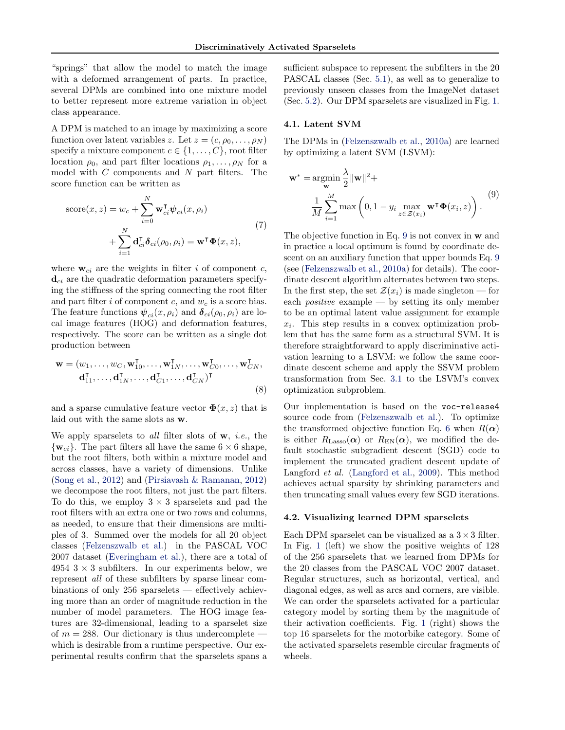"springs" that allow the model to match the image with a deformed arrangement of parts. In practice, several DPMs are combined into one mixture model to better represent more extreme variation in object class appearance.

A DPM is matched to an image by maximizing a score function over latent variables z. Let  $z = (c, \rho_0, \ldots, \rho_N)$ specify a mixture component  $c \in \{1, \ldots, C\}$ , root filter location  $\rho_0$ , and part filter locations  $\rho_1, \ldots, \rho_N$  for a model with  $C$  components and  $N$  part filters. The score function can be written as

score
$$
(x, z)
$$
 =  $w_c + \sum_{i=0}^{N} \mathbf{w}_{ci}^{\mathsf{T}} \boldsymbol{\psi}_{ci}(x, \rho_i)$   
+  $\sum_{i=1}^{N} \mathbf{d}_{ci}^{\mathsf{T}} \boldsymbol{\delta}_{ci}(\rho_0, \rho_i) = \mathbf{w}^{\mathsf{T}} \boldsymbol{\Phi}(x, z),$  (7)

where  $w_{ci}$  are the weights in filter i of component c,  $\mathbf{d}_{ci}$  are the quadratic deformation parameters specifying the stiffness of the spring connecting the root filter and part filter  $i$  of component  $c$ , and  $w_c$  is a score bias. The feature functions  $\psi_{ci}(x,\rho_i)$  and  $\delta_{ci}(\rho_0,\rho_i)$  are local image features (HOG) and deformation features, respectively. The score can be written as a single dot production between

$$
\mathbf{w} = (w_1, \dots, w_C, \mathbf{w}_{10}^{\mathsf{T}}, \dots, \mathbf{w}_{1N}^{\mathsf{T}}, \dots, \mathbf{w}_{C0}^{\mathsf{T}}, \dots, \mathbf{w}_{CN}^{\mathsf{T}}, \mathbf{d}_{11}^{\mathsf{T}}, \dots, \mathbf{d}_{1N}^{\mathsf{T}}, \dots, \mathbf{d}_{C1}^{\mathsf{T}}, \dots, \mathbf{d}_{CN}^{\mathsf{T}})^{\mathsf{T}}
$$
\n(8)

and a sparse cumulative feature vector  $\mathbf{\Phi}(x, z)$  that is laid out with the same slots as w.

We apply sparselets to all filter slots of  $w$ , *i.e.*, the  $\{w_{ci}\}\$ . The part filters all have the same  $6 \times 6$  shape, but the root filters, both within a mixture model and across classes, have a variety of dimensions. Unlike [\(Song et al.,](#page-8-0) [2012\)](#page-8-0) and [\(Pirsiavash & Ramanan,](#page-8-0) [2012\)](#page-8-0) we decompose the root filters, not just the part filters. To do this, we employ  $3 \times 3$  sparselets and pad the root filters with an extra one or two rows and columns, as needed, to ensure that their dimensions are multiples of 3. Summed over the models for all 20 object classes [\(Felzenszwalb et al.\)](#page-8-0) in the PASCAL VOC 2007 dataset [\(Everingham et al.\)](#page-7-0), there are a total of 4954  $3 \times 3$  subfilters. In our experiments below, we represent all of these subfilters by sparse linear combinations of only 256 sparselets — effectively achieving more than an order of magnitude reduction in the number of model parameters. The HOG image features are 32-dimensional, leading to a sparselet size of  $m = 288$ . Our dictionary is thus undercomplete which is desirable from a runtime perspective. Our experimental results confirm that the sparselets spans a sufficient subspace to represent the subfilters in the 20 PASCAL classes (Sec. [5.1\)](#page-6-0), as well as to generalize to previously unseen classes from the ImageNet dataset (Sec. [5.2\)](#page-7-0). Our DPM sparselets are visualized in Fig. [1.](#page-2-0)

#### 4.1. Latent SVM

The DPMs in [\(Felzenszwalb et al.,](#page-8-0) [2010a\)](#page-8-0) are learned by optimizing a latent SVM (LSVM):

$$
\mathbf{w}^* = \underset{\mathbf{w}}{\operatorname{argmin}} \frac{\lambda}{2} ||\mathbf{w}||^2 +
$$
  

$$
\frac{1}{M} \sum_{i=1}^M \max\left(0, 1 - y_i \max_{z \in \mathcal{Z}(x_i)} \mathbf{w}^\mathsf{T} \boldsymbol{\Phi}(x_i, z)\right). \tag{9}
$$

The objective function in Eq. 9 is not convex in w and in practice a local optimum is found by coordinate descent on an auxiliary function that upper bounds Eq. 9 (see [\(Felzenszwalb et al.,](#page-8-0) [2010a\)](#page-8-0) for details). The coordinate descent algorithm alternates between two steps. In the first step, the set  $\mathcal{Z}(x_i)$  is made singleton — for each *positive* example  $-$  by setting its only member to be an optimal latent value assignment for example  $x_i$ . This step results in a convex optimization problem that has the same form as a structural SVM. It is therefore straightforward to apply discriminative activation learning to a LSVM: we follow the same coordinate descent scheme and apply the SSVM problem transformation from Sec. [3.1](#page-4-0) to the LSVM's convex optimization subproblem.

Our implementation is based on the voc-release4 source code from [\(Felzenszwalb et al.\)](#page-8-0). To optimize the transformed objective function Eq. [6](#page-4-0) when  $R(\alpha)$ is either  $R_{\text{Lasso}}(\alpha)$  or  $R_{\text{EN}}(\alpha)$ , we modified the default stochastic subgradient descent (SGD) code to implement the truncated gradient descent update of Langford et al. [\(Langford et al.,](#page-8-0) [2009\)](#page-8-0). This method achieves actual sparsity by shrinking parameters and then truncating small values every few SGD iterations.

#### 4.2. Visualizing learned DPM sparselets

Each DPM sparselet can be visualized as a  $3 \times 3$  filter. In Fig. [1](#page-2-0) (left) we show the positive weights of 128 of the 256 sparselets that we learned from DPMs for the 20 classes from the PASCAL VOC 2007 dataset. Regular structures, such as horizontal, vertical, and diagonal edges, as well as arcs and corners, are visible. We can order the sparselets activated for a particular category model by sorting them by the magnitude of their activation coefficients. Fig. [1](#page-2-0) (right) shows the top 16 sparselets for the motorbike category. Some of the activated sparselets resemble circular fragments of wheels.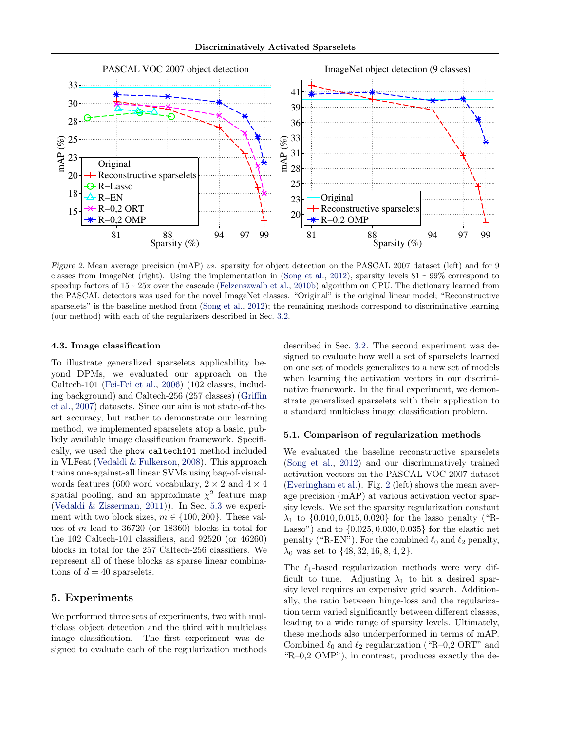<span id="page-6-0"></span>

Figure 2. Mean average precision (mAP) vs. sparsity for object detection on the PASCAL 2007 dataset (left) and for 9 classes from ImageNet (right). Using the implementation in [\(Song et al.,](#page-8-0) [2012\)](#page-8-0), sparsity levels  $81 \sim 99\%$  correspond to speedup factors of  $15 \sim 25x$  over the cascade [\(Felzenszwalb et al.,](#page-8-0) [2010b\)](#page-8-0) algorithm on CPU. The dictionary learned from the PASCAL detectors was used for the novel ImageNet classes. "Original" is the original linear model; "Reconstructive sparselets" is the baseline method from [\(Song et al.,](#page-8-0) [2012\)](#page-8-0); the remaining methods correspond to discriminative learning (our method) with each of the regularizers described in Sec. [3.2.](#page-4-0)

#### 4.3. Image classification

To illustrate generalized sparselets applicability beyond DPMs, we evaluated our approach on the Caltech-101 [\(Fei-Fei et al.,](#page-8-0) [2006\)](#page-8-0) (102 classes, including background) and Caltech-256 (257 classes) [\(Griffin](#page-8-0) [et al.,](#page-8-0) [2007\)](#page-8-0) datasets. Since our aim is not state-of-theart accuracy, but rather to demonstrate our learning method, we implemented sparselets atop a basic, publicly available image classification framework. Specifically, we used the phow caltech101 method included in VLFeat [\(Vedaldi & Fulkerson,](#page-8-0) [2008\)](#page-8-0). This approach trains one-against-all linear SVMs using bag-of-visualwords features (600 word vocabulary,  $2 \times 2$  and  $4 \times 4$ spatial pooling, and an approximate  $\chi^2$  feature map [\(Vedaldi & Zisserman,](#page-8-0) [2011\)](#page-8-0)). In Sec. [5.3](#page-7-0) we experiment with two block sizes,  $m \in \{100, 200\}$ . These values of m lead to 36720 (or 18360) blocks in total for the 102 Caltech-101 classifiers, and 92520 (or 46260) blocks in total for the 257 Caltech-256 classifiers. We represent all of these blocks as sparse linear combinations of  $d = 40$  sparselets.

### 5. Experiments

We performed three sets of experiments, two with multiclass object detection and the third with multiclass image classification. The first experiment was designed to evaluate each of the regularization methods described in Sec. [3.2.](#page-4-0) The second experiment was designed to evaluate how well a set of sparselets learned on one set of models generalizes to a new set of models when learning the activation vectors in our discriminative framework. In the final experiment, we demonstrate generalized sparselets with their application to a standard multiclass image classification problem.

#### 5.1. Comparison of regularization methods

We evaluated the baseline reconstructive sparselets [\(Song et al.,](#page-8-0) [2012\)](#page-8-0) and our discriminatively trained activation vectors on the PASCAL VOC 2007 dataset [\(Everingham et al.\)](#page-7-0). Fig. 2 (left) shows the mean average precision (mAP) at various activation vector sparsity levels. We set the sparsity regularization constant  $\lambda_1$  to  $\{0.010, 0.015, 0.020\}$  for the lasso penalty ("R-Lasso") and to {0.025, 0.030, 0.035} for the elastic net penalty ("R-EN"). For the combined  $\ell_0$  and  $\ell_2$  penalty,  $\lambda_0$  was set to  $\{48, 32, 16, 8, 4, 2\}.$ 

The  $\ell_1$ -based regularization methods were very difficult to tune. Adjusting  $\lambda_1$  to hit a desired sparsity level requires an expensive grid search. Additionally, the ratio between hinge-loss and the regularization term varied significantly between different classes, leading to a wide range of sparsity levels. Ultimately, these methods also underperformed in terms of mAP. Combined  $\ell_0$  and  $\ell_2$  regularization ("R–0,2 ORT" and "R–0,2 OMP"), in contrast, produces exactly the de-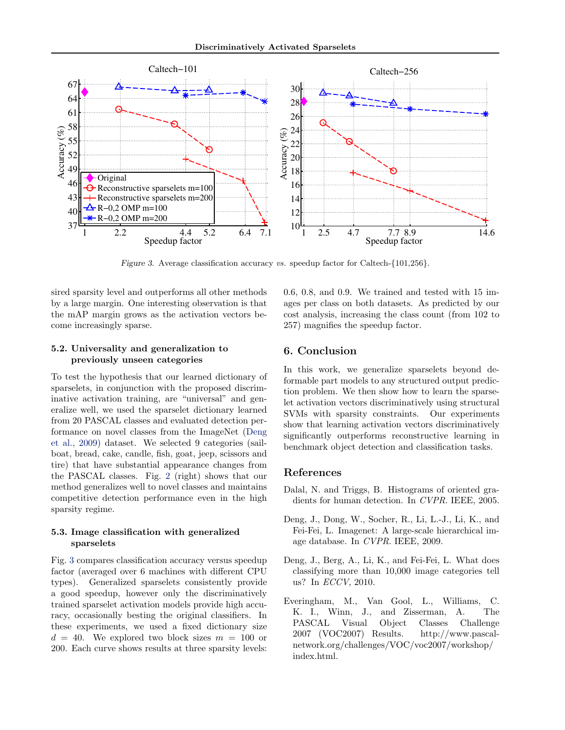<span id="page-7-0"></span>

Figure 3. Average classification accuracy vs. speedup factor for Caltech-{101,256}.

sired sparsity level and outperforms all other methods by a large margin. One interesting observation is that the mAP margin grows as the activation vectors become increasingly sparse.

#### 5.2. Universality and generalization to previously unseen categories

To test the hypothesis that our learned dictionary of sparselets, in conjunction with the proposed discriminative activation training, are "universal" and generalize well, we used the sparselet dictionary learned from 20 PASCAL classes and evaluated detection performance on novel classes from the ImageNet (Deng et al., 2009) dataset. We selected 9 categories (sailboat, bread, cake, candle, fish, goat, jeep, scissors and tire) that have substantial appearance changes from the PASCAL classes. Fig. [2](#page-6-0) (right) shows that our method generalizes well to novel classes and maintains competitive detection performance even in the high sparsity regime.

#### 5.3. Image classification with generalized sparselets

Fig. 3 compares classification accuracy versus speedup factor (averaged over 6 machines with different CPU types). Generalized sparselets consistently provide a good speedup, however only the discriminatively trained sparselet activation models provide high accuracy, occasionally besting the original classifiers. In these experiments, we used a fixed dictionary size  $d = 40$ . We explored two block sizes  $m = 100$  or 200. Each curve shows results at three sparsity levels: 0.6, 0.8, and 0.9. We trained and tested with 15 images per class on both datasets. As predicted by our cost analysis, increasing the class count (from 102 to 257) magnifies the speedup factor.

## 6. Conclusion

In this work, we generalize sparselets beyond deformable part models to any structured output prediction problem. We then show how to learn the sparselet activation vectors discriminatively using structural SVMs with sparsity constraints. Our experiments show that learning activation vectors discriminatively significantly outperforms reconstructive learning in benchmark object detection and classification tasks.

#### References

- Dalal, N. and Triggs, B. Histograms of oriented gradients for human detection. In CVPR. IEEE, 2005.
- Deng, J., Dong, W., Socher, R., Li, L.-J., Li, K., and Fei-Fei, L. Imagenet: A large-scale hierarchical image database. In CVPR. IEEE, 2009.
- Deng, J., Berg, A., Li, K., and Fei-Fei, L. What does classifying more than 10,000 image categories tell us? In ECCV, 2010.
- Everingham, M., Van Gool, L., Williams, C. K. I., Winn, J., and Zisserman, A. The PASCAL Visual Object Classes Challenge 2007 (VOC2007) Results. http://www.pascalnetwork.org/challenges/VOC/voc2007/workshop/ index.html.